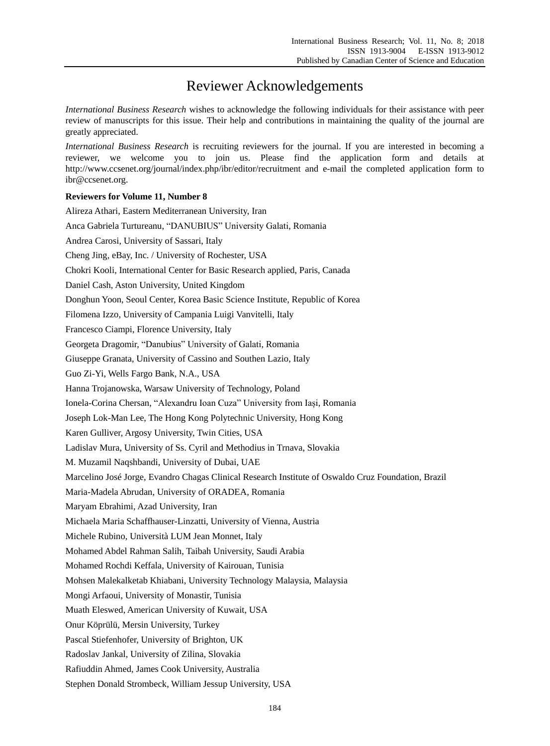## Reviewer Acknowledgements

*International Business Research* wishes to acknowledge the following individuals for their assistance with peer review of manuscripts for this issue. Their help and contributions in maintaining the quality of the journal are greatly appreciated.

*International Business Research* is recruiting reviewers for the journal. If you are interested in becoming a reviewer, we welcome you to join us. Please find the application form and details at http://www.ccsenet.org/journal/index.php/ibr/editor/recruitment and e-mail the completed application form to ibr@ccsenet.org.

## **Reviewers for Volume 11, Number 8**

| Alireza Athari, Eastern Mediterranean University, Iran                                               |
|------------------------------------------------------------------------------------------------------|
| Anca Gabriela Turtureanu, "DANUBIUS" University Galati, Romania                                      |
| Andrea Carosi, University of Sassari, Italy                                                          |
| Cheng Jing, eBay, Inc. / University of Rochester, USA                                                |
| Chokri Kooli, International Center for Basic Research applied, Paris, Canada                         |
| Daniel Cash, Aston University, United Kingdom                                                        |
| Donghun Yoon, Seoul Center, Korea Basic Science Institute, Republic of Korea                         |
| Filomena Izzo, University of Campania Luigi Vanvitelli, Italy                                        |
| Francesco Ciampi, Florence University, Italy                                                         |
| Georgeta Dragomir, "Danubius" University of Galati, Romania                                          |
| Giuseppe Granata, University of Cassino and Southen Lazio, Italy                                     |
| Guo Zi-Yi, Wells Fargo Bank, N.A., USA                                                               |
| Hanna Trojanowska, Warsaw University of Technology, Poland                                           |
| Ionela-Corina Chersan, "Alexandru Ioan Cuza" University from Iași, Romania                           |
| Joseph Lok-Man Lee, The Hong Kong Polytechnic University, Hong Kong                                  |
| Karen Gulliver, Argosy University, Twin Cities, USA                                                  |
| Ladislav Mura, University of Ss. Cyril and Methodius in Trnava, Slovakia                             |
| M. Muzamil Naqshbandi, University of Dubai, UAE                                                      |
| Marcelino Jos é Jorge, Evandro Chagas Clinical Research Institute of Oswaldo Cruz Foundation, Brazil |
| Maria-Madela Abrudan, University of ORADEA, Romania                                                  |
| Maryam Ebrahimi, Azad University, Iran                                                               |
| Michaela Maria Schaffhauser-Linzatti, University of Vienna, Austria                                  |
| Michele Rubino, Università LUM Jean Monnet, Italy                                                    |
| Mohamed Abdel Rahman Salih, Taibah University, Saudi Arabia                                          |
| Mohamed Rochdi Keffala, University of Kairouan, Tunisia                                              |
| Mohsen Malekalketab Khiabani, University Technology Malaysia, Malaysia                               |
| Mongi Arfaoui, University of Monastir, Tunisia                                                       |
| Muath Eleswed, American University of Kuwait, USA                                                    |
| Onur Köprülü, Mersin University, Turkey                                                              |
| Pascal Stiefenhofer, University of Brighton, UK                                                      |
| Radoslav Jankal, University of Zilina, Slovakia                                                      |
| Rafiuddin Ahmed, James Cook University, Australia                                                    |
| Stephen Donald Strombeck, William Jessup University, USA                                             |